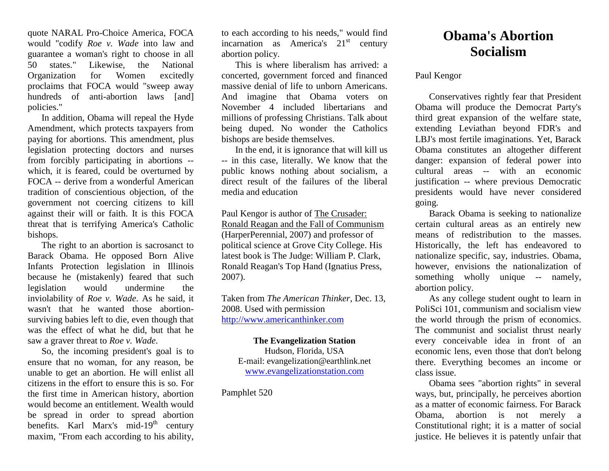quote NARAL Pro-Choice America, FOCA would "codify *Roe v. Wade* into law and guarantee a woman's right to choose in all 50 states." Likewise, the National Organization for Women excitedly proclaims that FOCA would "sweep away hundreds of anti-abortion laws [and] policies."

In addition, Obama will repeal the Hyde Amendment, which protects taxpayers from paying for abortions. This amendment, plus legislation protecting doctors and nurses from forcibly participating in abortions - which, it is feared, could be overturned by FOCA -- derive from a wonderful American tradition of conscientious objection, of the government not coercing citizens to kill against their will or faith. It is this FOCA threat that is terrifying America's Catholic bishops.

The right to an abortion is sacrosanct to Barack Obama. He opposed Born Alive Infants Protection legislation in Illinois because he (mistakenly) feared that such legislation would undermine the inviolability of *Roe v. Wade*. As he said, it wasn't that he wanted those abortionsurviving babies left to die, even though that was the effect of what he did, but that he saw a graver threat to *Roe v. Wade*.

So, the incoming president's goal is to ensure that no woman, for any reason, be unable to get an abortion. He will enlist all citizens in the effort to ensure this is so. For the first time in American history, abortion would become an entitlement. Wealth would be spread in order to spread abortion benefits. Karl Marx's mid-19<sup>th</sup> century maxim, "From each according to his ability,

to each according to his needs," would find incarnation as America's  $21<sup>st</sup>$  century abortion policy.

This is where liberalism has arrived: a concerted, government forced and financed massive denial of life to unborn Americans. And imagine that Obama voters on November 4 included libertarians and millions of professing Christians. Talk about being duped. No wonder the Catholics bishops are beside themselves.

In the end, it is ignorance that will kill us -- in this case, literally. We know that the public knows nothing about socialism, a direct result of the failures of the liberal media and education

Paul Kengor is author of The Crusader: Ronald Reagan and the Fall of Communism (HarperPerennial, 2007) and professor of political science at Grove City College. His latest book is The Judge: William P. Clark, Ronald Reagan's Top Hand (Ignatius Press, 2007).

Taken from *The American Thinker*, Dec. 13, 2008. Used with permission [http://www.americanthinker.com](http://www.americanthinker.com/) 

**The Evangelization Station** Hudson, Florida, USA E-mail: evangelization@earthlink.net [www.evangelizationstation.com](http://www.pjpiisoe.org/)

Pamphlet 520

## **Obama's Abortion Socialism**

Paul Kengor

Conservatives rightly fear that President Obama will produce the Democrat Party's third great expansion of the welfare state, extending Leviathan beyond FDR's and LBJ's most fertile imaginations. Yet, Barack Obama constitutes an altogether different danger: expansion of federal power into cultural areas -- with an economic justification -- where previous Democratic presidents would have never considered going.

Barack Obama is seeking to nationalize certain cultural areas as an entirely new means of redistribution to the masses. Historically, the left has endeavored to nationalize specific, say, industries. Obama, however, envisions the nationalization of something wholly unique -- namely, abortion policy.

As any college student ought to learn in PoliSci 101, communism and socialism view the world through the prism of economics. The communist and socialist thrust nearly every conceivable idea in front of an economic lens, even those that don't belong there. Everything becomes an income or class issue.

Obama sees "abortion rights" in several ways, but, principally, he perceives abortion as a matter of economic fairness. For Barack Obama, abortion is not merely a Constitutional right; it is a matter of social justice. He believes it is patently unfair that